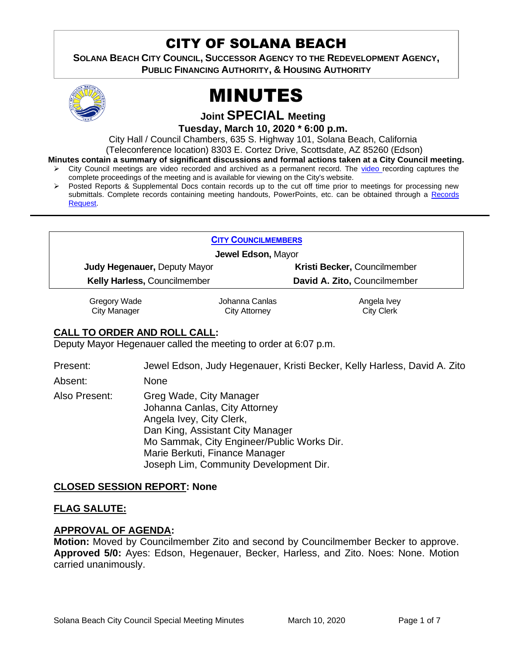# CITY OF SOLANA BEACH

**SOLANA BEACH CITY COUNCIL, SUCCESSOR AGENCY TO THE REDEVELOPMENT AGENCY, PUBLIC FINANCING AUTHORITY, & HOUSING AUTHORITY** 



# MINUTES

**Joint SPECIAL Meeting**

**Tuesday, March 10, 2020 \* 6:00 p.m.** 

City Hall / Council Chambers, 635 S. Highway 101, Solana Beach, California

(Teleconference location) 8303 E. Cortez Drive, Scottsdate, AZ 85260 (Edson)

**Minutes contain a summary of significant discussions and formal actions taken at a City Council meeting.**

- City Council meetings are [video r](https://solanabeach.12milesout.com/#page=1)ecorded and archived as a permanent record. The video recording captures the complete proceedings of the meeting and is available for viewing on the City's website.
- Posted Reports & Supplemental Docs contain records up to the cut off time prior to meetings for processing new submittals. Complete records containing meeting handouts, PowerPoints, etc. can be obtained through a Records [Request.](http://www.ci.solana-beach.ca.us/index.asp?SEC=F5D45D10-70CE-4291-A27C-7BD633FC6742&Type=B_BASIC)

#### **CITY C[OUNCILMEMBERS](https://www.ci.solana-beach.ca.us/index.asp?SEC=C38A5C14-3D2B-4356-BFEA-A35854AC6D45&Type=B_BASIC)**

**Jewel Edson,** Mayor

**Judy Hegenauer,** Deputy Mayor **Kristi Becker,** Councilmember **Kelly Harless,** Councilmember **David A. Zito,** Councilmember

Gregory Wade City Manager

Johanna Canlas City Attorney

Angela Ivey City Clerk

# **CALL TO ORDER AND ROLL CALL:**

Deputy Mayor Hegenauer called the meeting to order at 6:07 p.m.

Present: Jewel Edson, Judy Hegenauer, Kristi Becker, Kelly Harless, David A. Zito

Absent: None

Also Present: Greg Wade, City Manager Johanna Canlas, City Attorney Angela Ivey, City Clerk, Dan King, Assistant City Manager Mo Sammak, City Engineer/Public Works Dir. Marie Berkuti, Finance Manager Joseph Lim, Community Development Dir.

# **CLOSED SESSION REPORT: None**

# **FLAG SALUTE:**

# **APPROVAL OF AGENDA:**

**Motion:** Moved by Councilmember Zito and second by Councilmember Becker to approve. **Approved 5/0:** Ayes: Edson, Hegenauer, Becker, Harless, and Zito. Noes: None. Motion carried unanimously.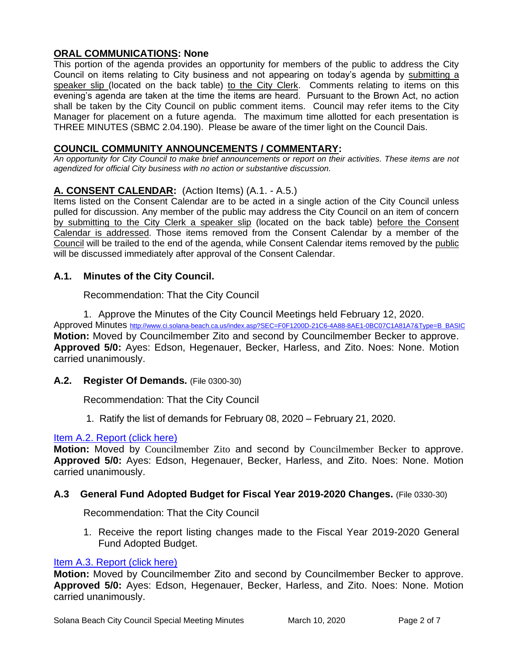# **ORAL COMMUNICATIONS: None**

This portion of the agenda provides an opportunity for members of the public to address the City Council on items relating to City business and not appearing on today's agenda by submitting a speaker slip (located on the back table) to the City Clerk. Comments relating to items on this evening's agenda are taken at the time the items are heard. Pursuant to the Brown Act, no action shall be taken by the City Council on public comment items. Council may refer items to the City Manager for placement on a future agenda. The maximum time allotted for each presentation is THREE MINUTES (SBMC 2.04.190). Please be aware of the timer light on the Council Dais.

# **COUNCIL COMMUNITY ANNOUNCEMENTS / COMMENTARY:**

*An opportunity for City Council to make brief announcements or report on their activities. These items are not agendized for official City business with no action or substantive discussion.* 

# **A. CONSENT CALENDAR:** (Action Items) (A.1. - A.5.)

Items listed on the Consent Calendar are to be acted in a single action of the City Council unless pulled for discussion. Any member of the public may address the City Council on an item of concern by submitting to the City Clerk a speaker slip (located on the back table) before the Consent Calendar is addressed. Those items removed from the Consent Calendar by a member of the Council will be trailed to the end of the agenda, while Consent Calendar items removed by the public will be discussed immediately after approval of the Consent Calendar.

# **A.1. Minutes of the City Council.**

#### Recommendation: That the City Council

1. Approve the Minutes of the City Council Meetings held February 12, 2020. Approved Minutes [http://www.ci.solana-beach.ca.us/index.asp?SEC=F0F1200D-21C6-4A88-8AE1-0BC07C1A81A7&Type=B\\_BASIC](http://www.ci.solana-beach.ca.us/index.asp?SEC=F0F1200D-21C6-4A88-8AE1-0BC07C1A81A7&Type=B_BASIC) **Motion:** Moved by Councilmember Zito and second by Councilmember Becker to approve. **Approved 5/0:** Ayes: Edson, Hegenauer, Becker, Harless, and Zito. Noes: None. Motion carried unanimously.

**A.2. Register Of Demands.** (File 0300-30)

Recommendation: That the City Council

1. Ratify the list of demands for February 08, 2020 – February 21, 2020.

# [Item A.2. Report \(click here\)](https://solanabeach.govoffice3.com/vertical/Sites/%7B840804C2-F869-4904-9AE3-720581350CE7%7D/uploads/Item_A.2._(click_here)_03.10.20-O.pdf)

**Motion:** Moved by Councilmember Zito and second by Councilmember Becker to approve. **Approved 5/0:** Ayes: Edson, Hegenauer, Becker, Harless, and Zito. Noes: None. Motion carried unanimously.

#### **A.3 General Fund Adopted Budget for Fiscal Year 2019-2020 Changes.** (File 0330-30)

Recommendation: That the City Council

1. Receive the report listing changes made to the Fiscal Year 2019-2020 General Fund Adopted Budget.

#### [Item A.3. Report \(click here\)](https://solanabeach.govoffice3.com/vertical/Sites/%7B840804C2-F869-4904-9AE3-720581350CE7%7D/uploads/Item_A.3._(click_here)_03.10.20-O.pdf)

**Motion:** Moved by Councilmember Zito and second by Councilmember Becker to approve. **Approved 5/0:** Ayes: Edson, Hegenauer, Becker, Harless, and Zito. Noes: None. Motion carried unanimously.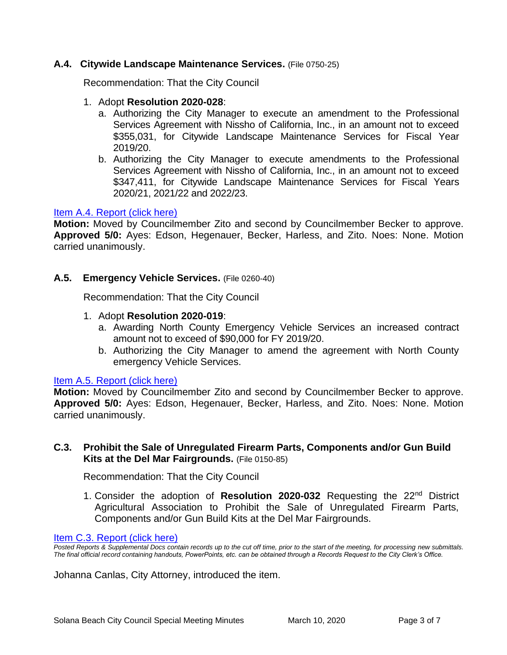#### **A.4. Citywide Landscape Maintenance Services.** (File 0750-25)

Recommendation: That the City Council

- 1. Adopt **Resolution 2020-028**:
	- a. Authorizing the City Manager to execute an amendment to the Professional Services Agreement with Nissho of California, Inc., in an amount not to exceed \$355,031, for Citywide Landscape Maintenance Services for Fiscal Year 2019/20.
	- b. Authorizing the City Manager to execute amendments to the Professional Services Agreement with Nissho of California, Inc., in an amount not to exceed \$347,411, for Citywide Landscape Maintenance Services for Fiscal Years 2020/21, 2021/22 and 2022/23.

#### [Item A.4. Report \(click here\)](https://solanabeach.govoffice3.com/vertical/Sites/%7B840804C2-F869-4904-9AE3-720581350CE7%7D/uploads/Item_A.4.(click_here)_03.10.20-O.pdf)

**Motion:** Moved by Councilmember Zito and second by Councilmember Becker to approve. **Approved 5/0:** Ayes: Edson, Hegenauer, Becker, Harless, and Zito. Noes: None. Motion carried unanimously.

#### **A.5. Emergency Vehicle Services.** (File 0260-40)

Recommendation: That the City Council

- 1. Adopt **Resolution 2020-019**:
	- a. Awarding North County Emergency Vehicle Services an increased contract amount not to exceed of \$90,000 for FY 2019/20.
	- b. Authorizing the City Manager to amend the agreement with North County emergency Vehicle Services.

#### [Item A.5. Report \(click here\)](https://solanabeach.govoffice3.com/vertical/Sites/%7B840804C2-F869-4904-9AE3-720581350CE7%7D/uploads/Item_A.5.(click_here)_03.10.20-O.pdf)

**Motion:** Moved by Councilmember Zito and second by Councilmember Becker to approve. **Approved 5/0:** Ayes: Edson, Hegenauer, Becker, Harless, and Zito. Noes: None. Motion carried unanimously.

#### **C.3. Prohibit the Sale of Unregulated Firearm Parts, Components and/or Gun Build Kits at the Del Mar Fairgrounds.** (File 0150-85)

Recommendation: That the City Council

1. Consider the adoption of **Resolution 2020-032** Requesting the 22nd District Agricultural Association to Prohibit the Sale of Unregulated Firearm Parts, Components and/or Gun Build Kits at the Del Mar Fairgrounds.

#### [Item C.3. Report \(click here\)](https://solanabeach.govoffice3.com/vertical/Sites/%7B840804C2-F869-4904-9AE3-720581350CE7%7D/uploads/Item_C.3.(click_here)_03.10.20-O.pdf)

*Posted Reports & Supplemental Docs contain records up to the cut off time, prior to the start of the meeting, for processing new submittals. The final official record containing handouts, PowerPoints, etc. can be obtained through a Records Request to the City Clerk's Office.*

Johanna Canlas, City Attorney, introduced the item.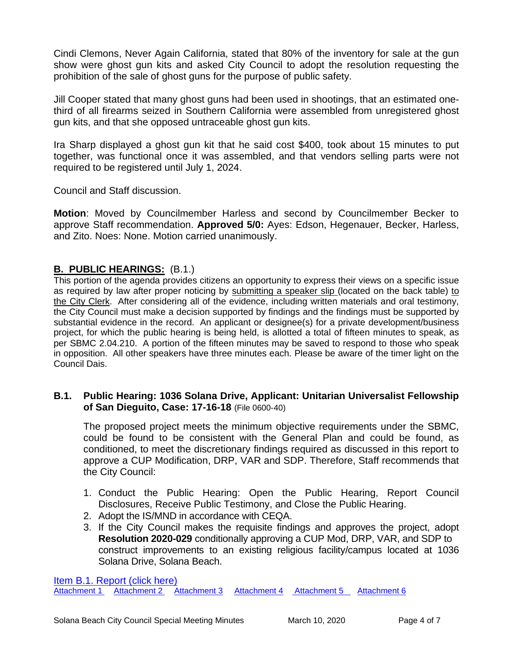Cindi Clemons, Never Again California, stated that 80% of the inventory for sale at the gun show were ghost gun kits and asked City Council to adopt the resolution requesting the prohibition of the sale of ghost guns for the purpose of public safety.

Jill Cooper stated that many ghost guns had been used in shootings, that an estimated onethird of all firearms seized in Southern California were assembled from unregistered ghost gun kits, and that she opposed untraceable ghost gun kits.

Ira Sharp displayed a ghost gun kit that he said cost \$400, took about 15 minutes to put together, was functional once it was assembled, and that vendors selling parts were not required to be registered until July 1, 2024.

Council and Staff discussion.

**Motion**: Moved by Councilmember Harless and second by Councilmember Becker to approve Staff recommendation. **Approved 5/0:** Ayes: Edson, Hegenauer, Becker, Harless, and Zito. Noes: None. Motion carried unanimously.

# **B. PUBLIC HEARINGS:** (B.1.)

This portion of the agenda provides citizens an opportunity to express their views on a specific issue as required by law after proper noticing by submitting a speaker slip (located on the back table) to the City Clerk. After considering all of the evidence, including written materials and oral testimony, the City Council must make a decision supported by findings and the findings must be supported by substantial evidence in the record. An applicant or designee(s) for a private development/business project, for which the public hearing is being held, is allotted a total of fifteen minutes to speak, as per SBMC 2.04.210. A portion of the fifteen minutes may be saved to respond to those who speak in opposition. All other speakers have three minutes each. Please be aware of the timer light on the Council Dais.

#### **B.1. Public Hearing: 1036 Solana Drive, Applicant: Unitarian Universalist Fellowship of San Dieguito, Case: 17-16-18** (File 0600-40)

The proposed project meets the minimum objective requirements under the SBMC, could be found to be consistent with the General Plan and could be found, as conditioned, to meet the discretionary findings required as discussed in this report to approve a CUP Modification, DRP, VAR and SDP. Therefore, Staff recommends that the City Council:

- 1. Conduct the Public Hearing: Open the Public Hearing, Report Council Disclosures, Receive Public Testimony, and Close the Public Hearing.
- 2. Adopt the IS/MND in accordance with CEQA.
- 3. If the City Council makes the requisite findings and approves the project, adopt **Resolution 2020-029** conditionally approving a CUP Mod, DRP, VAR, and SDP to construct improvements to an existing religious facility/campus located at 1036 Solana Drive, Solana Beach.

[Item B.1. Report \(click here\)](https://solanabeach.govoffice3.com/vertical/Sites/%7B840804C2-F869-4904-9AE3-720581350CE7%7D/uploads/Item_B.1._(click_here)_03.10.20.PDF) [Attachment 1](https://solanabeach.govoffice3.com/vertical/Sites/%7B840804C2-F869-4904-9AE3-720581350CE7%7D/uploads/Item_B.1._ATTCH_1_-_Reso2020-029_-O.pdf) [Attachment 2](https://solanabeach.govoffice3.com/vertical/Sites/%7B840804C2-F869-4904-9AE3-720581350CE7%7D/uploads/Attachment_2_17-18-16_(UUFSD)_Final_Project_Plans_03.04.2020.pdf) [Attachment 3](https://solanabeach.govoffice3.com/vertical/Sites/%7B840804C2-F869-4904-9AE3-720581350CE7%7D/uploads/Item_B.1._ATTCH_3_Variance_-O_.pdf) [Attachment 4](https://solanabeach.govoffice3.com/vertical/Sites/%7B840804C2-F869-4904-9AE3-720581350CE7%7D/uploads/Item_B.1._ATTCH_4_ISMND_-O.pdf) [Attachment 5](https://solanabeach.govoffice3.com/vertical/Sites/%7B840804C2-F869-4904-9AE3-720581350CE7%7D/uploads/Item_B.1._ATTCH_5_ISMND_Appendices_-O.pdf) [Attachment 6](https://solanabeach.govoffice3.com/vertical/Sites/%7B840804C2-F869-4904-9AE3-720581350CE7%7D/uploads/Item_B.1._ATTCH_6_-_NOI_-O.pdf)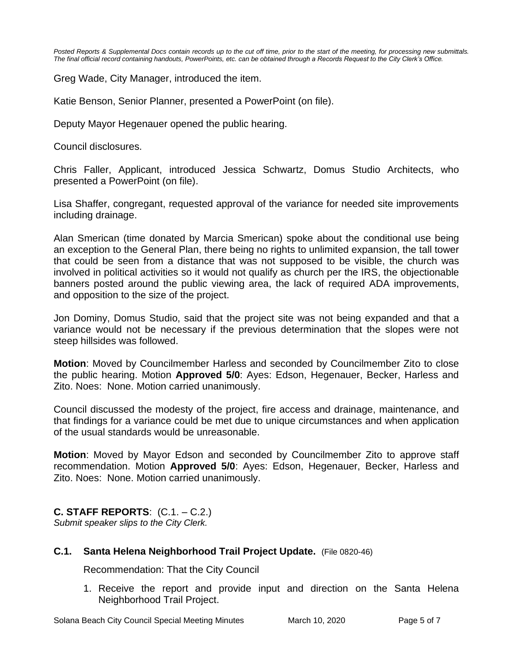*Posted Reports & Supplemental Docs contain records up to the cut off time, prior to the start of the meeting, for processing new submittals. The final official record containing handouts, PowerPoints, etc. can be obtained through a Records Request to the City Clerk's Office.*

Greg Wade, City Manager, introduced the item.

Katie Benson, Senior Planner, presented a PowerPoint (on file).

Deputy Mayor Hegenauer opened the public hearing.

Council disclosures.

Chris Faller, Applicant, introduced Jessica Schwartz, Domus Studio Architects, who presented a PowerPoint (on file).

Lisa Shaffer, congregant, requested approval of the variance for needed site improvements including drainage.

Alan Smerican (time donated by Marcia Smerican) spoke about the conditional use being an exception to the General Plan, there being no rights to unlimited expansion, the tall tower that could be seen from a distance that was not supposed to be visible, the church was involved in political activities so it would not qualify as church per the IRS, the objectionable banners posted around the public viewing area, the lack of required ADA improvements, and opposition to the size of the project.

Jon Dominy, Domus Studio, said that the project site was not being expanded and that a variance would not be necessary if the previous determination that the slopes were not steep hillsides was followed.

**Motion**: Moved by Councilmember Harless and seconded by Councilmember Zito to close the public hearing. Motion **Approved 5/0**: Ayes: Edson, Hegenauer, Becker, Harless and Zito. Noes: None. Motion carried unanimously.

Council discussed the modesty of the project, fire access and drainage, maintenance, and that findings for a variance could be met due to unique circumstances and when application of the usual standards would be unreasonable.

**Motion**: Moved by Mayor Edson and seconded by Councilmember Zito to approve staff recommendation. Motion **Approved 5/0**: Ayes: Edson, Hegenauer, Becker, Harless and Zito. Noes: None. Motion carried unanimously.

**C. STAFF REPORTS**: (C.1. – C.2.) *Submit speaker slips to the City Clerk.*

# **C.1. Santa Helena Neighborhood Trail Project Update.** (File 0820-46)

Recommendation: That the City Council

1. Receive the report and provide input and direction on the Santa Helena Neighborhood Trail Project.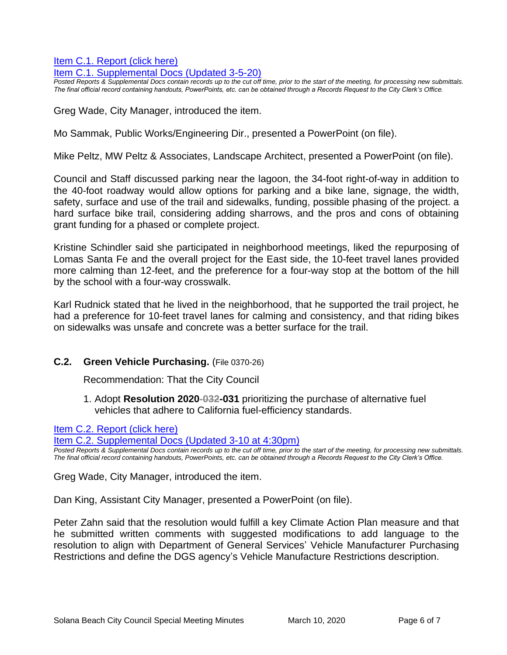[Item C.1. Report \(click here\)](https://solanabeach.govoffice3.com/vertical/Sites/%7B840804C2-F869-4904-9AE3-720581350CE7%7D/uploads/Item_C.1._(click_here)_03.10.20-O.pdf) 

[Item C.1. Supplemental Docs \(Updated 3-5-20\)](https://solanabeach.govoffice3.com/vertical/Sites/%7B840804C2-F869-4904-9AE3-720581350CE7%7D/uploads/Item_C.1._Supplemental_Docs_(upd._3-5)_-_O.pdf)

*Posted Reports & Supplemental Docs contain records up to the cut off time, prior to the start of the meeting, for processing new submittals. The final official record containing handouts, PowerPoints, etc. can be obtained through a Records Request to the City Clerk's Office.*

Greg Wade, City Manager, introduced the item.

Mo Sammak, Public Works/Engineering Dir., presented a PowerPoint (on file).

Mike Peltz, MW Peltz & Associates, Landscape Architect, presented a PowerPoint (on file).

Council and Staff discussed parking near the lagoon, the 34-foot right-of-way in addition to the 40-foot roadway would allow options for parking and a bike lane, signage, the width, safety, surface and use of the trail and sidewalks, funding, possible phasing of the project. a hard surface bike trail, considering adding sharrows, and the pros and cons of obtaining grant funding for a phased or complete project.

Kristine Schindler said she participated in neighborhood meetings, liked the repurposing of Lomas Santa Fe and the overall project for the East side, the 10-feet travel lanes provided more calming than 12-feet, and the preference for a four-way stop at the bottom of the hill by the school with a four-way crosswalk.

Karl Rudnick stated that he lived in the neighborhood, that he supported the trail project, he had a preference for 10-feet travel lanes for calming and consistency, and that riding bikes on sidewalks was unsafe and concrete was a better surface for the trail.

#### **C.2. Green Vehicle Purchasing.** (File 0370-26)

Recommendation: That the City Council

1. Adopt **Resolution 2020-032-031** prioritizing the purchase of alternative fuel vehicles that adhere to California fuel-efficiency standards.

[Item C.2. Report \(click here\)](https://solanabeach.govoffice3.com/vertical/Sites/%7B840804C2-F869-4904-9AE3-720581350CE7%7D/uploads/Item_C.2.(click_here)_03.10.20-O.pdf) 

[Item C.2. Supplemental Docs \(Updated 3-10 at 4:30pm\)](https://solanabeach.govoffice3.com/vertical/Sites/%7B840804C2-F869-4904-9AE3-720581350CE7%7D/uploads/C.2._Supplemental_Docs_(Updated_3-10_at_430pm).pdf)

*Posted Reports & Supplemental Docs contain records up to the cut off time, prior to the start of the meeting, for processing new submittals. The final official record containing handouts, PowerPoints, etc. can be obtained through a Records Request to the City Clerk's Office.*

Greg Wade, City Manager, introduced the item.

Dan King, Assistant City Manager, presented a PowerPoint (on file).

Peter Zahn said that the resolution would fulfill a key Climate Action Plan measure and that he submitted written comments with suggested modifications to add language to the resolution to align with Department of General Services' Vehicle Manufacturer Purchasing Restrictions and define the DGS agency's Vehicle Manufacture Restrictions description.